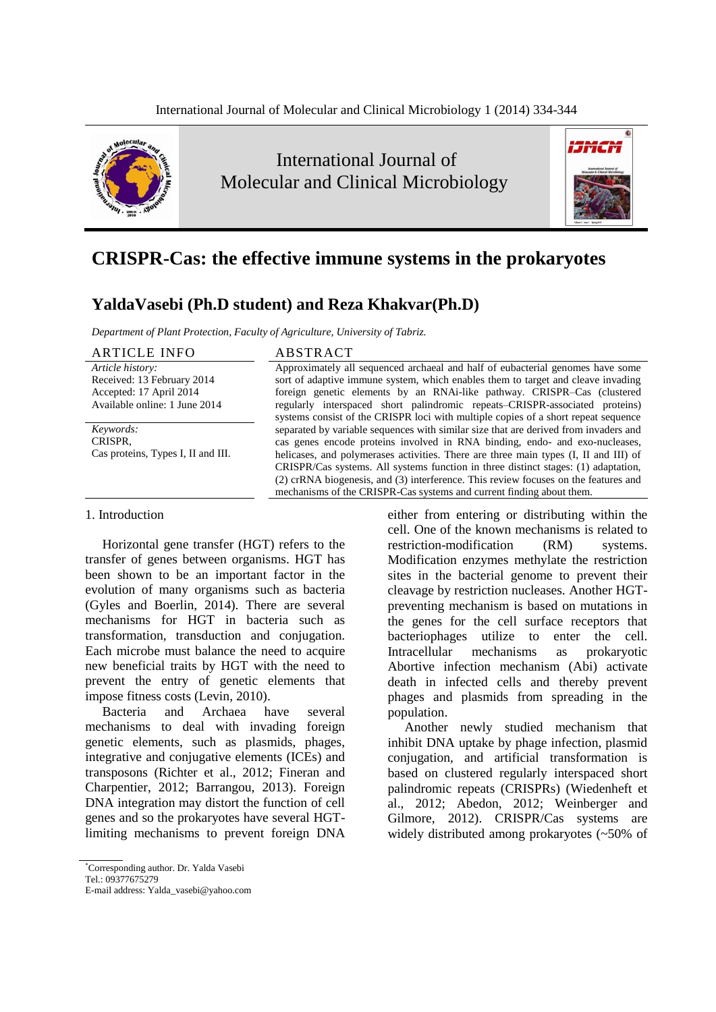

International Journal of Molecular and Clinical Microbiology



# **CRISPR-Cas: the effective immune systems in the prokaryotes**

## **YaldaVasebi (Ph.D student) and Reza Khakvar(Ph.D)**

*Department of Plant Protection, Faculty of Agriculture, University of Tabriz.*

ARTICLE INFO ABSTRACT *Article history:* Received: 13 February 2014 Accepted: 17 April 2014 Available online: 1 June 2014

*Keywords:* CRISPR, Cas proteins, Types I, II and III.

Approximately all sequenced archaeal and half of eubacterial genomes have some sort of adaptive immune system, which enables them to target and cleave invading foreign genetic elements by an RNAi-like pathway. CRISPR–Cas (clustered regularly interspaced short palindromic repeats–CRISPR-associated proteins) systems consist of the CRISPR loci with multiple copies of a short repeat sequence separated by variable sequences with similar size that are derived from invaders and cas genes encode proteins involved in RNA binding, endo- and exo-nucleases, helicases, and polymerases activities. There are three main types (I, II and III) of CRISPR/Cas systems. All systems function in three distinct stages: (1) adaptation, (2) crRNA biogenesis, and (3) interference. This review focuses on the features and mechanisms of the CRISPR-Cas systems and current finding about them.

#### 1. Introduction

Horizontal gene transfer (HGT) refers to the transfer of genes between organisms. HGT has been shown to be an important factor in the evolution of many organisms such as bacteria (Gyles and Boerlin, 2014). There are several mechanisms for HGT in bacteria such as transformation, transduction and conjugation. Each microbe must balance the need to acquire new beneficial traits by HGT with the need to prevent the entry of genetic elements that impose fitness costs (Levin, 2010).

Bacteria and Archaea have several mechanisms to deal with invading foreign genetic elements, such as plasmids, phages, integrative and conjugative elements (ICEs) and transposons (Richter et al., 2012; Fineran and Charpentier, 2012; Barrangou, 2013). Foreign DNA integration may distort the function of cell genes and so the prokaryotes have several HGTlimiting mechanisms to prevent foreign DNA

either from entering or distributing within the cell. One of the known mechanisms is related to restriction-modification (RM) systems. Modification enzymes methylate the restriction sites in the bacterial genome to prevent their cleavage by restriction nucleases. Another HGTpreventing mechanism is based on mutations in the genes for the cell surface receptors that bacteriophages utilize to enter the cell. Intracellular mechanisms as prokaryotic Abortive infection mechanism (Abi) activate death in infected cells and thereby prevent phages and plasmids from spreading in the population.

Another newly studied mechanism that inhibit DNA uptake by phage infection, plasmid conjugation, and artificial transformation is based on clustered regularly interspaced short palindromic repeats (CRISPRs) (Wiedenheft et al., 2012; Abedon, 2012; Weinberger and Gilmore, 2012). CRISPR/Cas systems are widely distributed among prokaryotes (~50% of

<sup>\*</sup>Corresponding author. Dr. Yalda Vasebi

Tel.: 09377675279

E-mail address: Yalda\_vasebi@yahoo.com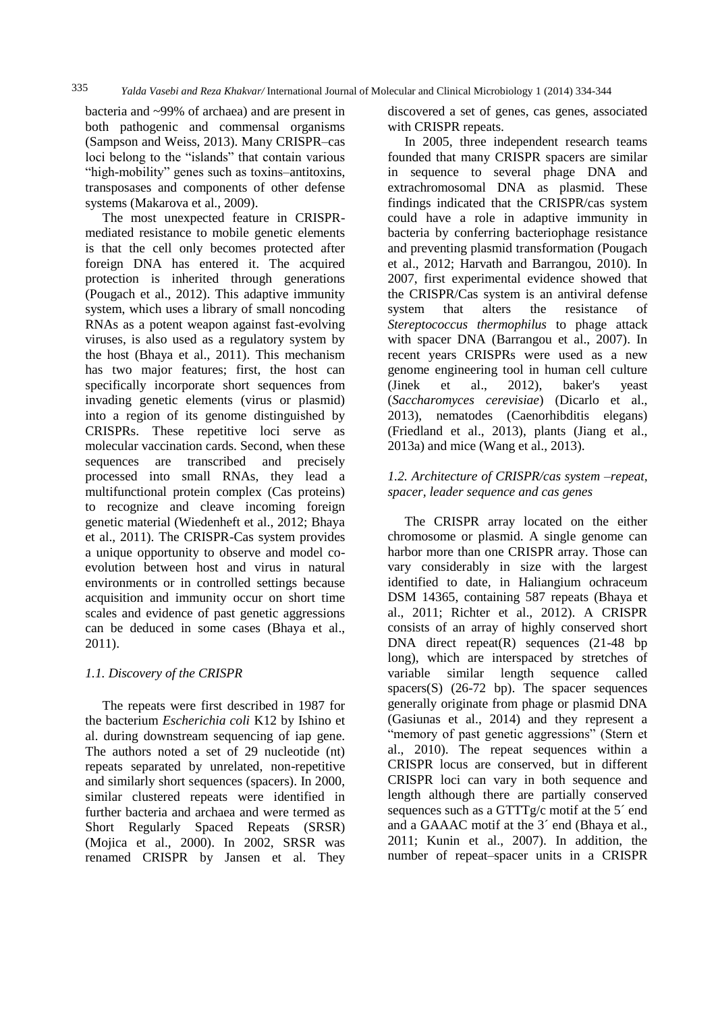bacteria and ~99% of archaea) and are present in both pathogenic and commensal organisms (Sampson and Weiss, 2013). Many CRISPR–cas loci belong to the "islands" that contain various "high-mobility" genes such as toxins–antitoxins, transposases and components of other defense systems (Makarova et al., 2009).

The most unexpected feature in CRISPRmediated resistance to mobile genetic elements is that the cell only becomes protected after foreign DNA has entered it. The acquired protection is inherited through generations (Pougach et al., 2012). This adaptive immunity system, which uses a library of small noncoding RNAs as a potent weapon against fast-evolving viruses, is also used as a regulatory system by the host (Bhaya et al., 2011). This mechanism has two major features; first, the host can specifically incorporate short sequences from invading genetic elements (virus or plasmid) into a region of its genome distinguished by CRISPRs. These repetitive loci serve as molecular vaccination cards. Second, when these sequences are transcribed and precisely processed into small RNAs, they lead a multifunctional protein complex (Cas proteins) to recognize and cleave incoming foreign genetic material (Wiedenheft et al., 2012; Bhaya et al., 2011). The CRISPR-Cas system provides a unique opportunity to observe and model coevolution between host and virus in natural environments or in controlled settings because acquisition and immunity occur on short time scales and evidence of past genetic aggressions can be deduced in some cases (Bhaya et al., 2011).

### *1.1. Discovery of the CRISPR*

The repeats were first described in 1987 for the bacterium *Escherichia coli* K12 by Ishino et al. during downstream sequencing of iap gene. The authors noted a set of 29 nucleotide (nt) repeats separated by unrelated, non-repetitive and similarly short sequences (spacers). In 2000, similar clustered repeats were identified in further bacteria and archaea and were termed as Short Regularly Spaced Repeats (SRSR) (Mojica et al., 2000). In 2002, SRSR was renamed CRISPR by Jansen et al. They

discovered a set of genes, cas genes, associated with CRISPR repeats.

In 2005, three independent research teams founded that many CRISPR spacers are similar in sequence to several phage DNA and extrachromosomal DNA as plasmid. These findings indicated that the CRISPR/cas system could have a role in adaptive immunity in bacteria by conferring bacteriophage resistance and preventing plasmid transformation (Pougach et al., 2012; Harvath and Barrangou, 2010). In 2007, first experimental evidence showed that the CRISPR/Cas system is an antiviral defense system that alters the resistance of *Stereptococcus thermophilus* to phage attack with spacer DNA (Barrangou et al., 2007). In recent years CRISPRs were used as a new genome engineering tool in human cell culture (Jinek et al., 2012), baker's yeast (*Saccharomyces cerevisiae*) (Dicarlo et al., 2013), nematodes (Caenorhibditis elegans) (Friedland et al., 2013), plants (Jiang et al., 2013a) and mice (Wang et al., 2013).

#### *1.2. Architecture of CRISPR/cas system –repeat, spacer, leader sequence and cas genes*

The CRISPR array located on the either chromosome or plasmid. A single genome can harbor more than one CRISPR array. Those can vary considerably in size with the largest identified to date, in Haliangium ochraceum DSM 14365, containing 587 repeats (Bhaya et al., 2011; Richter et al., 2012). A CRISPR consists of an array of highly conserved short DNA direct repeat(R) sequences (21-48 bp long), which are interspaced by stretches of variable similar length sequence called spacers(S) (26-72 bp). The spacer sequences generally originate from phage or plasmid DNA (Gasiunas et al., 2014) and they represent a "memory of past genetic aggressions" (Stern et al., 2010). The repeat sequences within a CRISPR locus are conserved, but in different CRISPR loci can vary in both sequence and length although there are partially conserved sequences such as a GTTTg/c motif at the 5´ end and a GAAAC motif at the 3´ end (Bhaya et al., 2011; Kunin et al., 2007). In addition, the number of repeat–spacer units in a CRISPR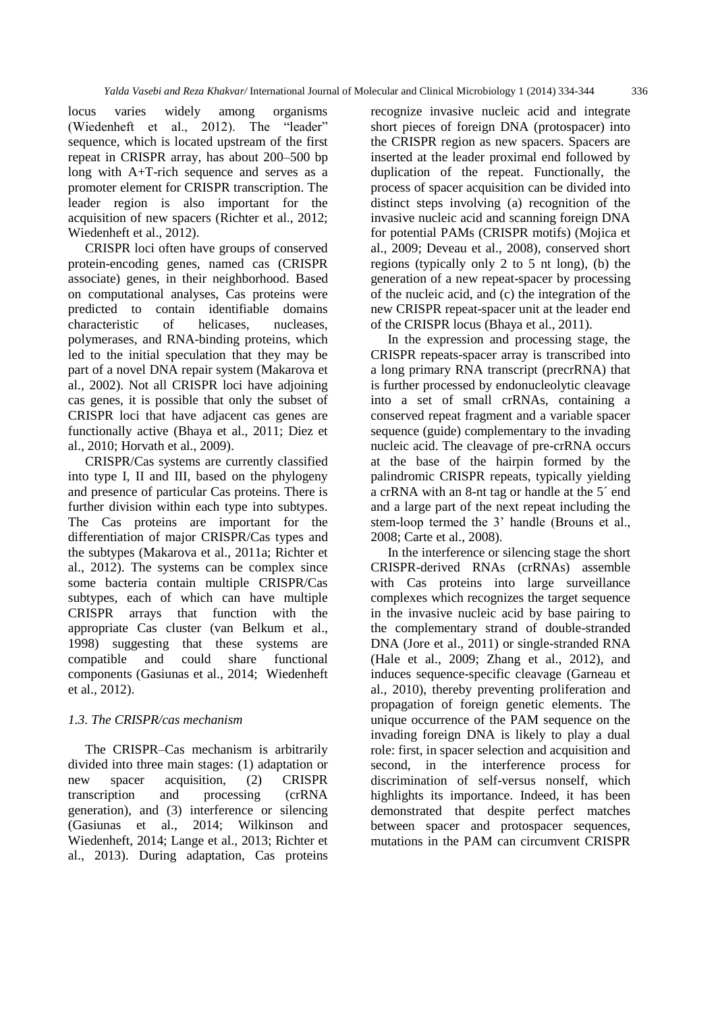locus varies widely among organisms (Wiedenheft et al., 2012). The "leader" sequence, which is located upstream of the first repeat in CRISPR array, has about 200–500 bp long with A+T-rich sequence and serves as a promoter element for CRISPR transcription. The leader region is also important for the acquisition of new spacers (Richter et al., 2012; Wiedenheft et al., 2012).

CRISPR loci often have groups of conserved protein-encoding genes, named cas (CRISPR associate) genes, in their neighborhood. Based on computational analyses, Cas proteins were predicted to contain identifiable domains characteristic of helicases, nucleases, polymerases, and RNA-binding proteins, which led to the initial speculation that they may be part of a novel DNA repair system (Makarova et al., 2002). Not all CRISPR loci have adjoining cas genes, it is possible that only the subset of CRISPR loci that have adjacent cas genes are functionally active (Bhaya et al., 2011; Diez et al., 2010; Horvath et al., 2009).

CRISPR/Cas systems are currently classified into type I, II and III, based on the phylogeny and presence of particular Cas proteins. There is further division within each type into subtypes. The Cas proteins are important for the differentiation of major CRISPR/Cas types and the subtypes (Makarova et al., 2011a; Richter et al., 2012). The systems can be complex since some bacteria contain multiple CRISPR/Cas subtypes, each of which can have multiple CRISPR arrays that function with the appropriate Cas cluster (van Belkum et al., 1998) suggesting that these systems are compatible and could share functional components (Gasiunas et al., 2014; Wiedenheft et al., 2012).

#### *1.3. The CRISPR/cas mechanism*

The CRISPR–Cas mechanism is arbitrarily divided into three main stages: (1) adaptation or new spacer acquisition, (2) CRISPR transcription and processing (crRNA generation), and (3) interference or silencing (Gasiunas et al., 2014; Wilkinson and Wiedenheft, 2014; Lange et al., 2013; Richter et al., 2013). During adaptation, Cas proteins

recognize invasive nucleic acid and integrate short pieces of foreign DNA (protospacer) into the CRISPR region as new spacers. Spacers are inserted at the leader proximal end followed by duplication of the repeat. Functionally, the process of spacer acquisition can be divided into distinct steps involving (a) recognition of the invasive nucleic acid and scanning foreign DNA for potential PAMs (CRISPR motifs) (Mojica et al., 2009; Deveau et al., 2008), conserved short regions (typically only 2 to 5 nt long), (b) the generation of a new repeat-spacer by processing of the nucleic acid, and (c) the integration of the new CRISPR repeat-spacer unit at the leader end of the CRISPR locus (Bhaya et al., 2011).

In the expression and processing stage, the CRISPR repeats-spacer array is transcribed into a long primary RNA transcript (precrRNA) that is further processed by endonucleolytic cleavage into a set of small crRNAs, containing a conserved repeat fragment and a variable spacer sequence (guide) complementary to the invading nucleic acid. The cleavage of pre-crRNA occurs at the base of the hairpin formed by the palindromic CRISPR repeats, typically yielding a crRNA with an 8-nt tag or handle at the 5´ end and a large part of the next repeat including the stem-loop termed the 3' handle (Brouns et al., 2008; Carte et al., 2008).

In the interference or silencing stage the short CRISPR-derived RNAs (crRNAs) assemble with Cas proteins into large surveillance complexes which recognizes the target sequence in the invasive nucleic acid by base pairing to the complementary strand of double-stranded DNA (Jore et al., 2011) or single-stranded RNA (Hale et al., 2009; Zhang et al., 2012), and induces sequence-specific cleavage (Garneau et al., 2010), thereby preventing proliferation and propagation of foreign genetic elements. The unique occurrence of the PAM sequence on the invading foreign DNA is likely to play a dual role: first, in spacer selection and acquisition and second, in the interference process for discrimination of self-versus nonself, which highlights its importance. Indeed, it has been demonstrated that despite perfect matches between spacer and protospacer sequences, mutations in the PAM can circumvent CRISPR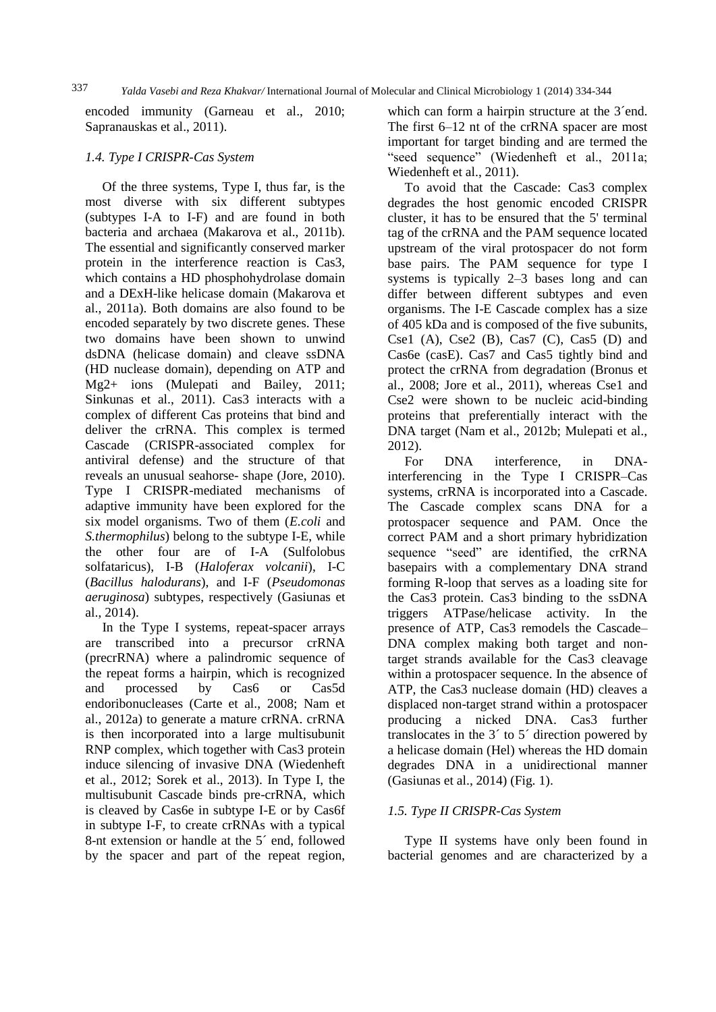*Yalda Vasebi and Reza Khakvar/* International Journal of Molecular and Clinical Microbiology 1 (2014) 334-344 337

encoded immunity (Garneau et al., 2010; Sapranauskas et al., 2011).

#### *1.4. Type I CRISPR-Cas System*

Of the three systems, Type I, thus far, is the most diverse with six different subtypes (subtypes I-A to I-F) and are found in both bacteria and archaea (Makarova et al., 2011b). The essential and significantly conserved marker protein in the interference reaction is Cas3, which contains a HD phosphohydrolase domain and a DExH-like helicase domain (Makarova et al., 2011a). Both domains are also found to be encoded separately by two discrete genes. These two domains have been shown to unwind dsDNA (helicase domain) and cleave ssDNA (HD nuclease domain), depending on ATP and Mg2+ ions (Mulepati and Bailey, 2011; Sinkunas et al., 2011). Cas3 interacts with a complex of different Cas proteins that bind and deliver the crRNA. This complex is termed Cascade (CRISPR-associated complex for antiviral defense) and the structure of that reveals an unusual seahorse- shape (Jore, 2010). Type I CRISPR-mediated mechanisms of adaptive immunity have been explored for the six model organisms. Two of them (*E.coli* and *S.thermophilus*) belong to the subtype I-E, while the other four are of I-A (Sulfolobus solfataricus), I-B (*Haloferax volcanii*), I-C (*Bacillus halodurans*), and I-F (*Pseudomonas aeruginosa*) subtypes, respectively (Gasiunas et al., 2014).

In the Type I systems, repeat-spacer arrays are transcribed into a precursor crRNA (precrRNA) where a palindromic sequence of the repeat forms a hairpin, which is recognized and processed by Cas6 or Cas5d endoribonucleases (Carte et al., 2008; Nam et al., 2012a) to generate a mature crRNA. crRNA is then incorporated into a large multisubunit RNP complex, which together with Cas3 protein induce silencing of invasive DNA (Wiedenheft et al., 2012; Sorek et al., 2013). In Type I, the multisubunit Cascade binds pre-crRNA, which is cleaved by Cas6e in subtype I-E or by Cas6f in subtype I-F, to create crRNAs with a typical 8-nt extension or handle at the 5´ end, followed by the spacer and part of the repeat region,

which can form a hairpin structure at the 3<sup>'</sup>end. The first 6–12 nt of the crRNA spacer are most important for target binding and are termed the "seed sequence" (Wiedenheft et al., 2011a; Wiedenheft et al., 2011).

To avoid that the Cascade: Cas3 complex degrades the host genomic encoded CRISPR cluster, it has to be ensured that the 5' terminal tag of the crRNA and the PAM sequence located upstream of the viral protospacer do not form base pairs. The PAM sequence for type I systems is typically 2–3 bases long and can differ between different subtypes and even organisms. The I-E Cascade complex has a size of 405 kDa and is composed of the five subunits, Cse1 (A), Cse2 (B), Cas7 (C), Cas5 (D) and Cas6e (casE). Cas7 and Cas5 tightly bind and protect the crRNA from degradation (Bronus et al., 2008; Jore et al., 2011), whereas Cse1 and Cse2 were shown to be nucleic acid-binding proteins that preferentially interact with the DNA target (Nam et al., 2012b; Mulepati et al., 2012).

For DNA interference, in DNAinterferencing in the Type I CRISPR–Cas systems, crRNA is incorporated into a Cascade. The Cascade complex scans DNA for a protospacer sequence and PAM. Once the correct PAM and a short primary hybridization sequence "seed" are identified, the crRNA basepairs with a complementary DNA strand forming R-loop that serves as a loading site for the Cas3 protein. Cas3 binding to the ssDNA triggers ATPase/helicase activity. In the presence of ATP, Cas3 remodels the Cascade– DNA complex making both target and nontarget strands available for the Cas3 cleavage within a protospacer sequence. In the absence of ATP, the Cas3 nuclease domain (HD) cleaves a displaced non-target strand within a protospacer producing a nicked DNA. Cas3 further translocates in the 3´ to 5´ direction powered by a helicase domain (Hel) whereas the HD domain degrades DNA in a unidirectional manner (Gasiunas et al., 2014) (Fig. 1).

### *1.5. Type II CRISPR-Cas System*

Type II systems have only been found in bacterial genomes and are characterized by a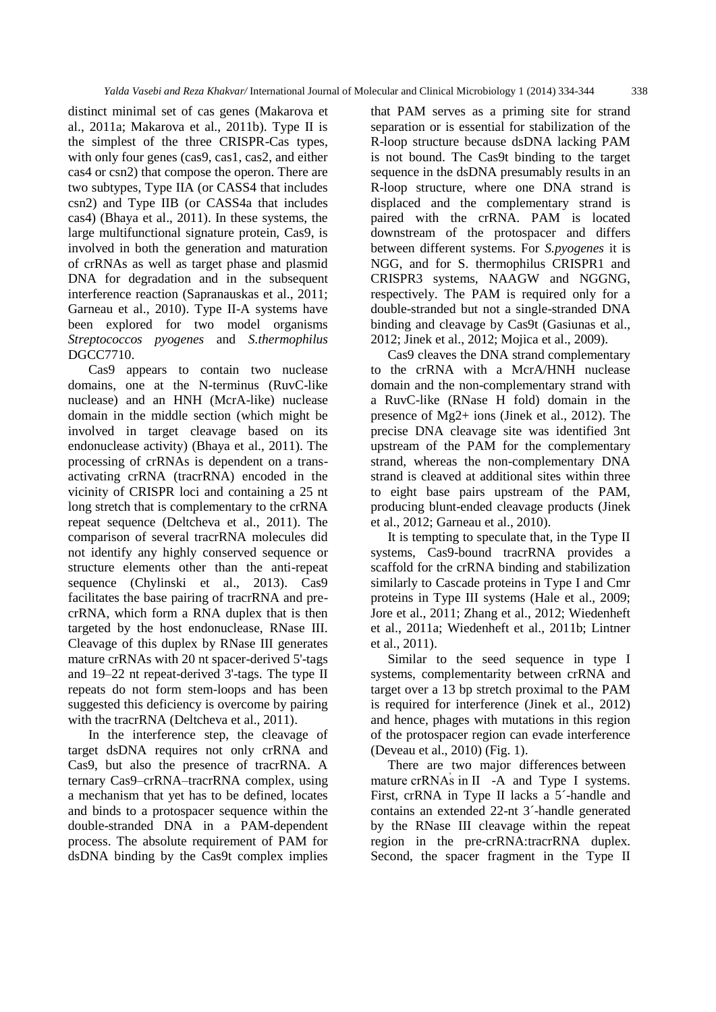distinct minimal set of cas genes (Makarova et al., 2011a; Makarova et al., 2011b). Type II is the simplest of the three CRISPR-Cas types, with only four genes (cas9, cas1, cas2, and either cas4 or csn2) that compose the operon. There are two subtypes, Type IIA (or CASS4 that includes csn2) and Type IIB (or CASS4a that includes cas4) (Bhaya et al., 2011). In these systems, the large multifunctional signature protein, Cas9, is involved in both the generation and maturation of crRNAs as well as target phase and plasmid DNA for degradation and in the subsequent interference reaction (Sapranauskas et al., 2011; Garneau et al., 2010). Type II-A systems have been explored for two model organisms *Streptococcos pyogenes* and *S.thermophilus* DGCC7710.

Cas9 appears to contain two nuclease domains, one at the N-terminus (RuvC-like nuclease) and an HNH (McrA-like) nuclease domain in the middle section (which might be involved in target cleavage based on its endonuclease activity) (Bhaya et al., 2011). The processing of crRNAs is dependent on a transactivating crRNA (tracrRNA) encoded in the vicinity of CRISPR loci and containing a 25 nt long stretch that is complementary to the crRNA repeat sequence (Deltcheva et al., 2011). The comparison of several tracrRNA molecules did not identify any highly conserved sequence or structure elements other than the anti-repeat sequence (Chylinski et al., 2013). Cas9 facilitates the base pairing of tracrRNA and precrRNA, which form a RNA duplex that is then targeted by the host endonuclease, RNase III. Cleavage of this duplex by RNase III generates mature crRNAs with 20 nt spacer-derived 5'-tags and 19–22 nt repeat-derived 3'-tags. The type II repeats do not form stem-loops and has been suggested this deficiency is overcome by pairing with the tracrRNA (Deltcheva et al., 2011).

In the interference step, the cleavage of target dsDNA requires not only crRNA and Cas9, but also the presence of tracrRNA. A ternary Cas9–crRNA–tracrRNA complex, using a mechanism that yet has to be defined, locates and binds to a protospacer sequence within the double-stranded DNA in a PAM-dependent process. The absolute requirement of PAM for dsDNA binding by the Cas9t complex implies

that PAM serves as a priming site for strand separation or is essential for stabilization of the R-loop structure because dsDNA lacking PAM is not bound. The Cas9t binding to the target sequence in the dsDNA presumably results in an R-loop structure, where one DNA strand is displaced and the complementary strand is paired with the crRNA. PAM is located downstream of the protospacer and differs between different systems. For *S.pyogenes* it is NGG, and for S. thermophilus CRISPR1 and CRISPR3 systems, NAAGW and NGGNG, respectively. The PAM is required only for a double-stranded but not a single-stranded DNA binding and cleavage by Cas9t (Gasiunas et al., 2012; Jinek et al., 2012; Mojica et al., 2009).

Cas9 cleaves the DNA strand complementary to the crRNA with a McrA/HNH nuclease domain and the non-complementary strand with a RuvC-like (RNase H fold) domain in the presence of Mg2+ ions (Jinek et al., 2012). The precise DNA cleavage site was identified 3nt upstream of the PAM for the complementary strand, whereas the non-complementary DNA strand is cleaved at additional sites within three to eight base pairs upstream of the PAM, producing blunt-ended cleavage products (Jinek et al., 2012; Garneau et al., 2010).

It is tempting to speculate that, in the Type II systems, Cas9-bound tracrRNA provides a scaffold for the crRNA binding and stabilization similarly to Cascade proteins in Type I and Cmr proteins in Type III systems (Hale et al., 2009; Jore et al., 2011; Zhang et al., 2012; Wiedenheft et al., 2011a; Wiedenheft et al., 2011b; Lintner et al., 2011).

Similar to the seed sequence in type I systems, complementarity between crRNA and target over a 13 bp stretch proximal to the PAM is required for interference (Jinek et al., 2012) and hence, phages with mutations in this region of the protospacer region can evade interference (Deveau et al., 2010) (Fig. 1).

There are two major differences between mature crRNAs in II -A and Type I systems. First, crRNA in Type II lacks a 5´-handle and contains an extended 22-nt 3´-handle generated by the RNase III cleavage within the repeat region in the pre-crRNA:tracrRNA duplex. Second, the spacer fragment in the Type II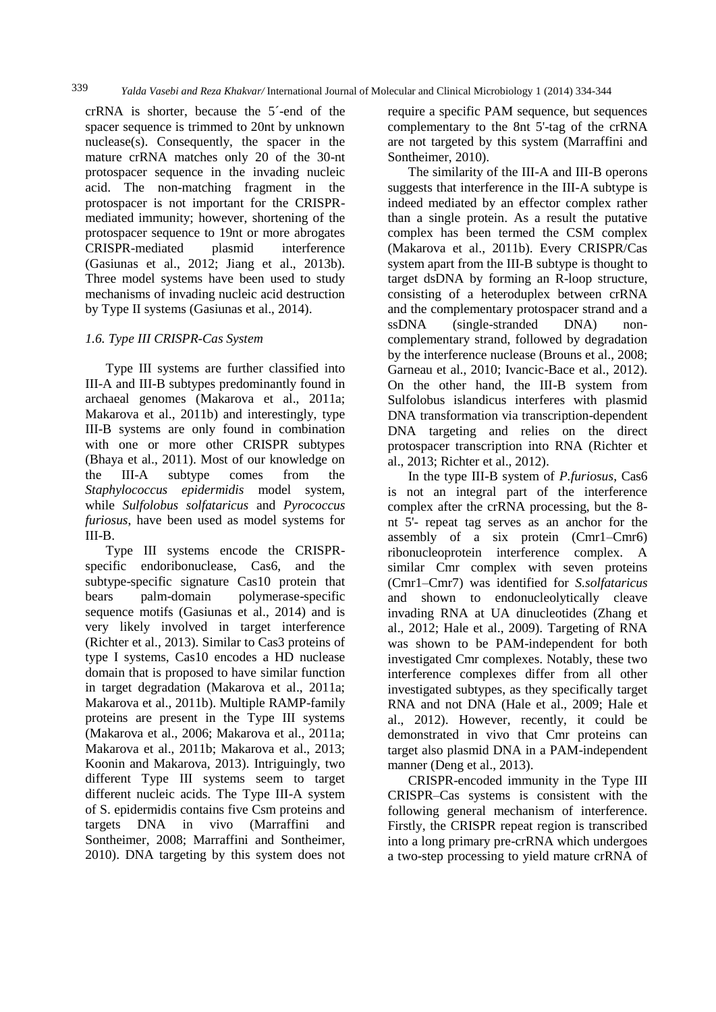crRNA is shorter, because the 5´-end of the spacer sequence is trimmed to 20nt by unknown nuclease(s). Consequently, the spacer in the mature crRNA matches only 20 of the 30-nt protospacer sequence in the invading nucleic acid. The non-matching fragment in the protospacer is not important for the CRISPRmediated immunity; however, shortening of the protospacer sequence to 19nt or more abrogates CRISPR-mediated plasmid interference (Gasiunas et al., 2012; Jiang et al., 2013b). Three model systems have been used to study mechanisms of invading nucleic acid destruction by Type II systems (Gasiunas et al., 2014).

#### *1.6. Type III CRISPR-Cas System*

Type III systems are further classified into III-A and III-B subtypes predominantly found in archaeal genomes (Makarova et al., 2011a; Makarova et al., 2011b) and interestingly, type III-B systems are only found in combination with one or more other CRISPR subtypes (Bhaya et al., 2011). Most of our knowledge on the III-A subtype comes from the *Staphylococcus epidermidis* model system, while *Sulfolobus solfataricus* and *Pyrococcus furiosus*, have been used as model systems for III-B.

Type III systems encode the CRISPRspecific endoribonuclease, Cas6, and the subtype-specific signature Cas10 protein that bears palm-domain polymerase-specific sequence motifs (Gasiunas et al., 2014) and is very likely involved in target interference (Richter et al., 2013). Similar to Cas3 proteins of type I systems, Cas10 encodes a HD nuclease domain that is proposed to have similar function in target degradation (Makarova et al., 2011a; Makarova et al., 2011b). Multiple RAMP-family proteins are present in the Type III systems (Makarova et al., 2006; Makarova et al., 2011a; Makarova et al., 2011b; Makarova et al., 2013; Koonin and Makarova, 2013). Intriguingly, two different Type III systems seem to target different nucleic acids. The Type III-A system of S. epidermidis contains five Csm proteins and targets DNA in vivo (Marraffini and Sontheimer, 2008; Marraffini and Sontheimer, 2010). DNA targeting by this system does not

require a specific PAM sequence, but sequences complementary to the 8nt 5'-tag of the crRNA are not targeted by this system (Marraffini and Sontheimer, 2010).

The similarity of the III-A and III-B operons suggests that interference in the III-A subtype is indeed mediated by an effector complex rather than a single protein. As a result the putative complex has been termed the CSM complex (Makarova et al., 2011b). Every CRISPR/Cas system apart from the III-B subtype is thought to target dsDNA by forming an R-loop structure, consisting of a heteroduplex between crRNA and the complementary protospacer strand and a ssDNA (single-stranded DNA) noncomplementary strand, followed by degradation by the interference nuclease (Brouns et al., 2008; Garneau et al., 2010; Ivancic-Bace et al., 2012). On the other hand, the III-B system from Sulfolobus islandicus interferes with plasmid DNA transformation via transcription-dependent DNA targeting and relies on the direct protospacer transcription into RNA (Richter et al., 2013; Richter et al., 2012).

In the type III-B system of *P.furiosus*, Cas6 is not an integral part of the interference complex after the crRNA processing, but the 8 nt 5'- repeat tag serves as an anchor for the assembly of a six protein (Cmr1–Cmr6) ribonucleoprotein interference complex. A similar Cmr complex with seven proteins (Cmr1–Cmr7) was identified for *S.solfataricus* and shown to endonucleolytically cleave invading RNA at UA dinucleotides (Zhang et al., 2012; Hale et al., 2009). Targeting of RNA was shown to be PAM-independent for both investigated Cmr complexes. Notably, these two interference complexes differ from all other investigated subtypes, as they specifically target RNA and not DNA (Hale et al., 2009; Hale et al., 2012). However, recently, it could be demonstrated in vivo that Cmr proteins can target also plasmid DNA in a PAM-independent manner (Deng et al., 2013).

CRISPR-encoded immunity in the Type III CRISPR–Cas systems is consistent with the following general mechanism of interference. Firstly, the CRISPR repeat region is transcribed into a long primary pre-crRNA which undergoes a two-step processing to yield mature crRNA of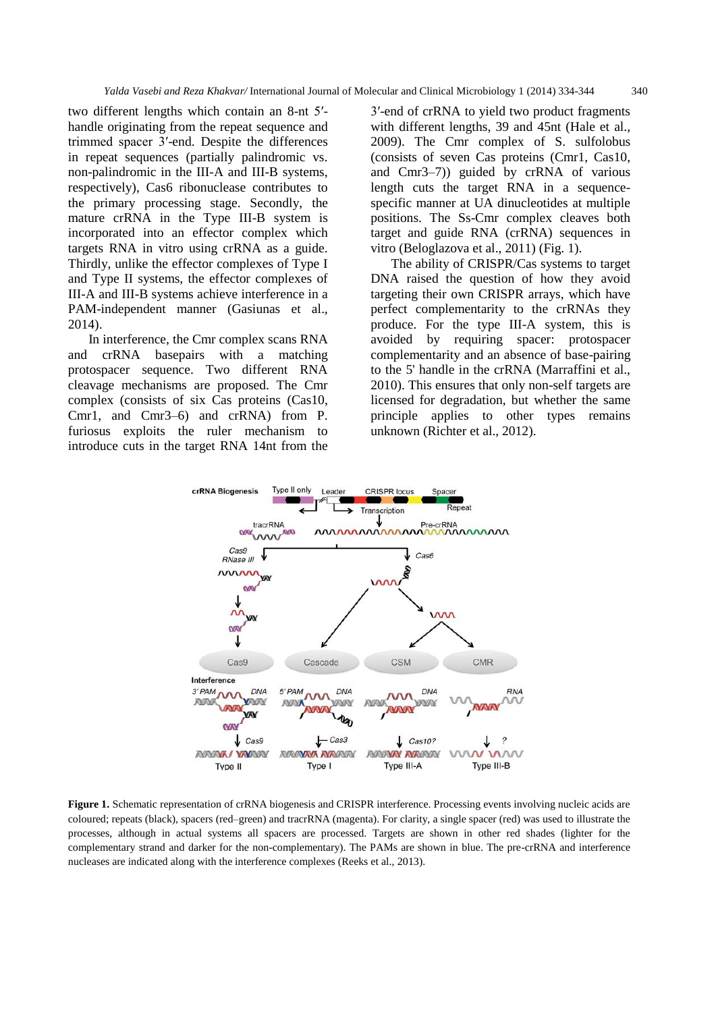two different lengths which contain an 8-nt 5′ handle originating from the repeat sequence and trimmed spacer 3′-end. Despite the differences in repeat sequences (partially palindromic vs. non-palindromic in the III-A and III-B systems, respectively), Cas6 ribonuclease contributes to the primary processing stage. Secondly, the mature crRNA in the Type III-B system is incorporated into an effector complex which targets RNA in vitro using crRNA as a guide. Thirdly, unlike the effector complexes of Type I and Type II systems, the effector complexes of III-A and III-B systems achieve interference in a PAM-independent manner (Gasiunas et al., 2014).

In interference, the Cmr complex scans RNA and crRNA basepairs with a matching protospacer sequence. Two different RNA cleavage mechanisms are proposed. The Cmr complex (consists of six Cas proteins (Cas10, Cmr1, and Cmr3–6) and crRNA) from P. furiosus exploits the ruler mechanism to introduce cuts in the target RNA 14nt from the

3′-end of crRNA to yield two product fragments with different lengths, 39 and 45nt (Hale et al., 2009). The Cmr complex of S. sulfolobus (consists of seven Cas proteins (Cmr1, Cas10, and Cmr3–7)) guided by crRNA of various length cuts the target RNA in a sequencespecific manner at UA dinucleotides at multiple positions. The Ss-Cmr complex cleaves both target and guide RNA (crRNA) sequences in vitro (Beloglazova et al., 2011) (Fig. 1).

The ability of CRISPR/Cas systems to target DNA raised the question of how they avoid targeting their own CRISPR arrays, which have perfect complementarity to the crRNAs they produce. For the type III-A system, this is avoided by requiring spacer: protospacer complementarity and an absence of base-pairing to the 5' handle in the crRNA (Marraffini et al., 2010). This ensures that only non-self targets are licensed for degradation, but whether the same principle applies to other types remains unknown (Richter et al., 2012).



**Figure 1.** Schematic representation of crRNA biogenesis and CRISPR interference. Processing events involving nucleic acids are coloured; repeats (black), spacers (red–green) and tracrRNA (magenta). For clarity, a single spacer (red) was used to illustrate the processes, although in actual systems all spacers are processed. Targets are shown in other red shades (lighter for the complementary strand and darker for the non-complementary). The PAMs are shown in blue. The pre-crRNA and interference nucleases are indicated along with the interference complexes (Reeks et al., 2013).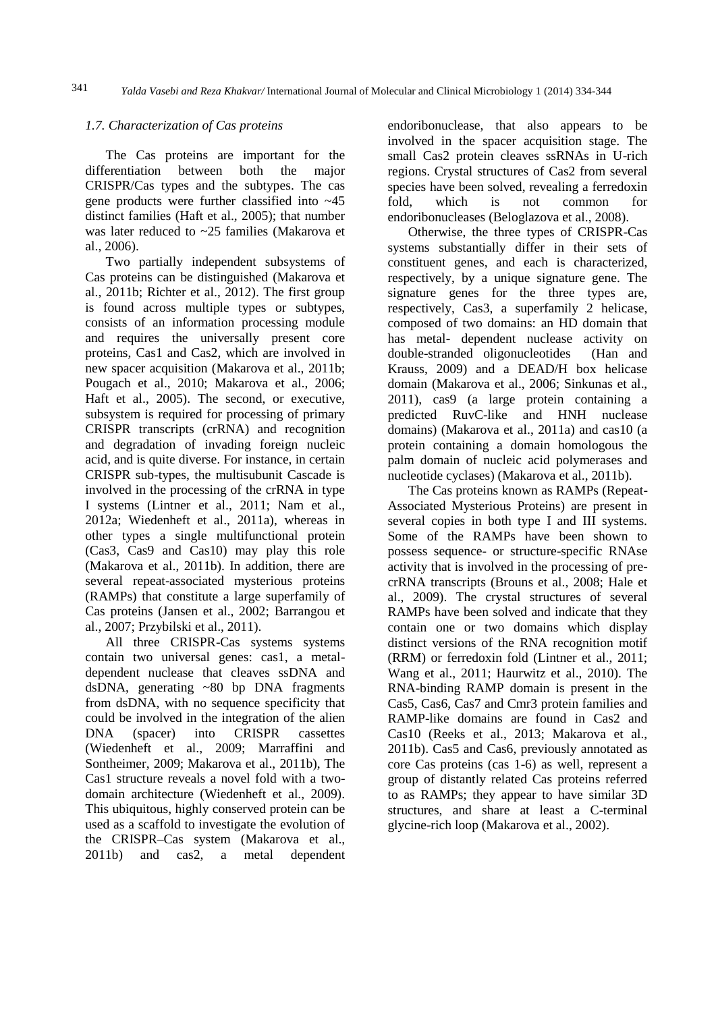#### *1.7. Characterization of Cas proteins*

The Cas proteins are important for the differentiation between both the major CRISPR/Cas types and the subtypes. The cas gene products were further classified into ~45 distinct families (Haft et al., 2005); that number was later reduced to ~25 families (Makarova et al., 2006).

Two partially independent subsystems of Cas proteins can be distinguished (Makarova et al., 2011b; Richter et al., 2012). The first group is found across multiple types or subtypes, consists of an information processing module and requires the universally present core proteins, Cas1 and Cas2, which are involved in new spacer acquisition (Makarova et al., 2011b; Pougach et al., 2010; Makarova et al., 2006; Haft et al., 2005). The second, or executive, subsystem is required for processing of primary CRISPR transcripts (crRNA) and recognition and degradation of invading foreign nucleic acid, and is quite diverse. For instance, in certain CRISPR sub-types, the multisubunit Cascade is involved in the processing of the crRNA in type I systems (Lintner et al., 2011; Nam et al., 2012a; Wiedenheft et al., 2011a), whereas in other types a single multifunctional protein (Cas3, Cas9 and Cas10) may play this role (Makarova et al., 2011b). In addition, there are several repeat-associated mysterious proteins (RAMPs) that constitute a large superfamily of Cas proteins (Jansen et al., 2002; Barrangou et al., 2007; Przybilski et al., 2011).

All three CRISPR-Cas systems systems contain two universal genes: cas1, a metaldependent nuclease that cleaves ssDNA and dsDNA, generating ~80 bp DNA fragments from dsDNA, with no sequence specificity that could be involved in the integration of the alien DNA (spacer) into CRISPR cassettes (Wiedenheft et al., 2009; Marraffini and Sontheimer, 2009; Makarova et al., 2011b), The Cas1 structure reveals a novel fold with a twodomain architecture (Wiedenheft et al., 2009). This ubiquitous, highly conserved protein can be used as a scaffold to investigate the evolution of the CRISPR–Cas system (Makarova et al., 2011b) and cas2, a metal dependent endoribonuclease, that also appears to be involved in the spacer acquisition stage. The small Cas2 protein cleaves ssRNAs in U-rich regions. Crystal structures of Cas2 from several species have been solved, revealing a ferredoxin fold, which is not common for endoribonucleases (Beloglazova et al., 2008).

Otherwise, the three types of CRISPR-Cas systems substantially differ in their sets of constituent genes, and each is characterized, respectively, by a unique signature gene. The signature genes for the three types are, respectively, Cas3, a superfamily 2 helicase, composed of two domains: an HD domain that has metal- dependent nuclease activity on double-stranded oligonucleotides (Han and Krauss, 2009) and a DEAD/H box helicase domain (Makarova et al., 2006; Sinkunas et al., 2011), cas9 (a large protein containing a predicted RuvC-like and HNH nuclease domains) (Makarova et al., 2011a) and cas10 (a protein containing a domain homologous the palm domain of nucleic acid polymerases and nucleotide cyclases) (Makarova et al., 2011b).

The Cas proteins known as RAMPs (Repeat-Associated Mysterious Proteins) are present in several copies in both type I and III systems. Some of the RAMPs have been shown to possess sequence- or structure-specific RNAse activity that is involved in the processing of precrRNA transcripts (Brouns et al., 2008; Hale et al., 2009). The crystal structures of several RAMPs have been solved and indicate that they contain one or two domains which display distinct versions of the RNA recognition motif (RRM) or ferredoxin fold (Lintner et al., 2011; Wang et al., 2011; Haurwitz et al., 2010). The RNA-binding RAMP domain is present in the Cas5, Cas6, Cas7 and Cmr3 protein families and RAMP-like domains are found in Cas2 and Cas10 (Reeks et al., 2013; Makarova et al., 2011b). Cas5 and Cas6, previously annotated as core Cas proteins (cas 1-6) as well, represent a group of distantly related Cas proteins referred to as RAMPs; they appear to have similar 3D structures, and share at least a C-terminal glycine-rich loop (Makarova et al., 2002).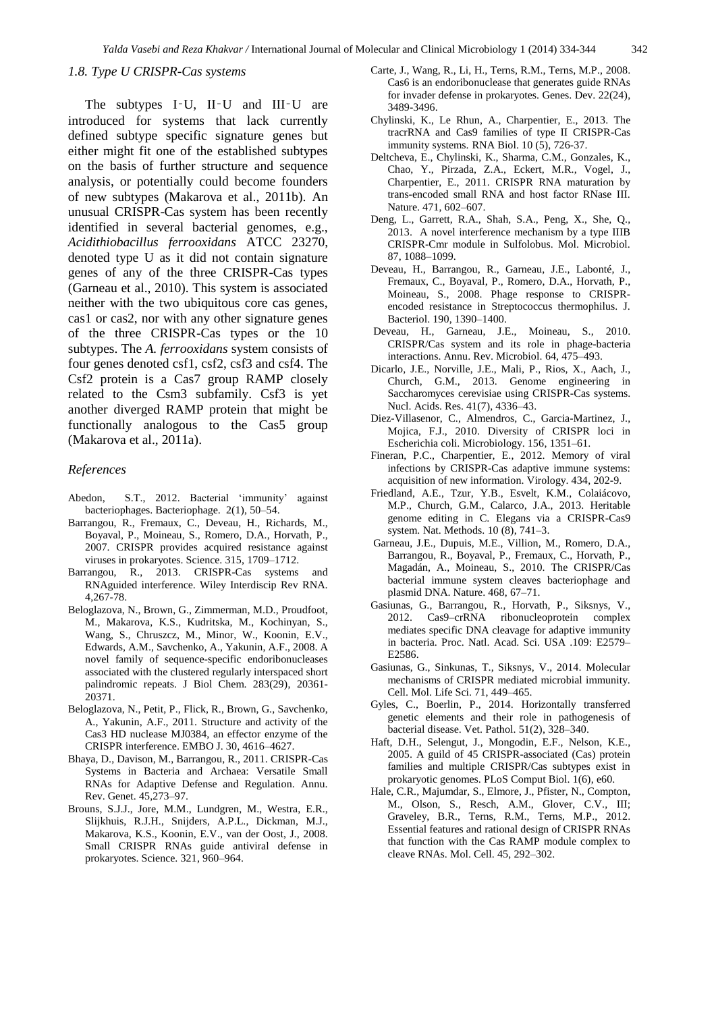#### *1.8. Type U CRISPR-Cas systems*

The subtypes I–U, II–U and III–U are introduced for systems that lack currently defined subtype specific signature genes but either might fit one of the established subtypes on the basis of further structure and sequence analysis, or potentially could become founders of new subtypes (Makarova et al., 2011b). An unusual CRISPR-Cas system has been recently identified in several bacterial genomes, e.g., *Acidithiobacillus ferrooxidans* ATCC 23270, denoted type U as it did not contain signature genes of any of the three CRISPR-Cas types (Garneau et al., 2010). This system is associated neither with the two ubiquitous core cas genes, cas1 or cas2, nor with any other signature genes of the three CRISPR-Cas types or the 10 subtypes. The *A. ferrooxidans* system consists of four genes denoted csf1, csf2, csf3 and csf4. The Csf2 protein is a Cas7 group RAMP closely related to the Csm3 subfamily. Csf3 is yet another diverged RAMP protein that might be functionally analogous to the Cas5 group (Makarova et al., 2011a).

#### *References*

- Abedon, S.T., 2012. Bacterial 'immunity' against bacteriophages. Bacteriophage. 2(1), 50–54.
- Barrangou, R., Fremaux, C., Deveau, H., Richards, M., Boyaval, P., Moineau, S., Romero, D.A., Horvath, P., 2007. CRISPR provides acquired resistance against viruses in prokaryotes. Science. 315, 1709–1712.
- Barrangou, R., 2013. CRISPR-Cas systems and RNAguided interference. Wiley Interdiscip Rev RNA. 4,267-78.
- Beloglazova, N., Brown, G., Zimmerman, M.D., Proudfoot, M., Makarova, K.S., Kudritska, M., Kochinyan, S., Wang, S., Chruszcz, M., Minor, W., Koonin, E.V., Edwards, A.M., Savchenko, A., Yakunin, A.F., 2008. A novel family of sequence-specific endoribonucleases associated with the clustered regularly interspaced short palindromic repeats. J Biol Chem. 283(29), 20361- 20371.
- Beloglazova, N., Petit, P., Flick, R., Brown, G., Savchenko, A., Yakunin, A.F., 2011. Structure and activity of the Cas3 HD nuclease MJ0384, an effector enzyme of the CRISPR interference. EMBO J. 30, 4616–4627.
- Bhaya, D., Davison, M., Barrangou, R., 2011. CRISPR-Cas Systems in Bacteria and Archaea: Versatile Small RNAs for Adaptive Defense and Regulation. Annu. Rev. Genet. 45,273–97.
- Brouns, S.J.J., Jore, M.M., Lundgren, M., Westra, E.R., Slijkhuis, R.J.H., Snijders, A.P.L., Dickman, M.J., Makarova, K.S., Koonin, E.V., van der Oost, J., 2008. Small CRISPR RNAs guide antiviral defense in prokaryotes. Science. 321, 960–964.
- Carte, J., Wang, R., Li, H., Terns, R.M., Terns, M.P., 2008. Cas6 is an endoribonuclease that generates guide RNAs for invader defense in prokaryotes. Genes. Dev. 22(24), 3489-3496.
- Chylinski, K., Le Rhun, A., Charpentier, E., 2013. The tracrRNA and Cas9 families of type II CRISPR-Cas immunity systems. RNA Biol. 10 (5), 726-37.
- Deltcheva, E., Chylinski, K., Sharma, C.M., Gonzales, K., Chao, Y., Pirzada, Z.A., Eckert, M.R., Vogel, J., Charpentier, E., 2011. CRISPR RNA maturation by trans-encoded small RNA and host factor RNase III. Nature. 471, 602–607.
- Deng, L., Garrett, R.A., Shah, S.A., Peng, X., She, Q., 2013. A novel interference mechanism by a type IIIB CRISPR-Cmr module in Sulfolobus. Mol. Microbiol. 87, 1088–1099.
- Deveau, H., Barrangou, R., Garneau, J.E., Labonté, J., Fremaux, C., Boyaval, P., Romero, D.A., Horvath, P., Moineau, S., 2008. Phage response to CRISPRencoded resistance in Streptococcus thermophilus. J. Bacteriol. 190, 1390–1400.
- Deveau, H., Garneau, J.E., Moineau, S., 2010. CRISPR/Cas system and its role in phage-bacteria interactions. Annu. Rev. Microbiol. 64, 475–493.
- Dicarlo, J.E., Norville, J.E., Mali, P., Rios, X., Aach, J., Church, G.M., 2013. Genome engineering in Saccharomyces cerevisiae using CRISPR-Cas systems. Nucl. Acids. Res. 41(7), 4336–43.
- Diez-Villasenor, C., Almendros, C., Garcia-Martinez, J., Mojica, F.J., 2010. Diversity of CRISPR loci in Escherichia coli. Microbiology. 156, 1351–61.
- Fineran, P.C., Charpentier, E., 2012. Memory of viral infections by CRISPR-Cas adaptive immune systems: acquisition of new information. Virology. 434, 202-9.
- Friedland, A.E., Tzur, Y.B., Esvelt, K.M., Colaiácovo, M.P., Church, G.M., Calarco, J.A., 2013. Heritable genome editing in C. Elegans via a CRISPR-Cas9 system. Nat. Methods. 10 (8), 741–3.
- Garneau, J.E., Dupuis, M.E., Villion, M., Romero, D.A., Barrangou, R., Boyaval, P., Fremaux, C., Horvath, P., Magadán, A., Moineau, S., 2010. The CRISPR/Cas bacterial immune system cleaves bacteriophage and plasmid DNA. Nature. 468, 67–71.
- Gasiunas, G., Barrangou, R., Horvath, P., Siksnys, V., 2012. Cas9–crRNA ribonucleoprotein complex mediates specific DNA cleavage for adaptive immunity in bacteria. Proc. Natl. Acad. Sci. USA .109: E2579– E2586.
- Gasiunas, G., Sinkunas, T., Siksnys, V., 2014. Molecular mechanisms of CRISPR mediated microbial immunity. Cell. Mol. Life Sci. 71, 449–465.
- Gyles, C., Boerlin, P., 2014. Horizontally transferred genetic elements and their role in pathogenesis of bacterial disease. Vet. Pathol. 51(2), 328–340.
- Haft, D.H., Selengut, J., Mongodin, E.F., Nelson, K.E., 2005. A guild of 45 CRISPR-associated (Cas) protein families and multiple CRISPR/Cas subtypes exist in prokaryotic genomes. PLoS Comput Biol. 1(6), e60.
- Hale, C.R., Majumdar, S., Elmore, J., Pfister, N., Compton, M., Olson, S., Resch, A.M., Glover, C.V., III; Graveley, B.R., Terns, R.M., Terns, M.P., 2012. Essential features and rational design of CRISPR RNAs that function with the Cas RAMP module complex to cleave RNAs. Mol. Cell. 45, 292–302.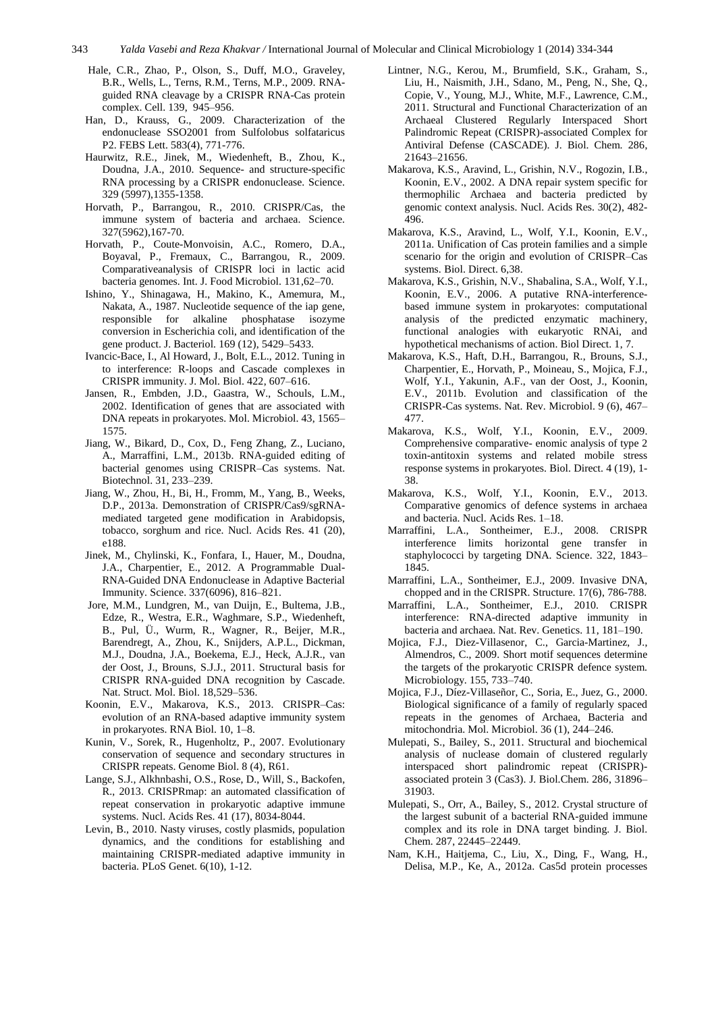- Hale, C.R., Zhao, P., Olson, S., Duff, M.O., Graveley, B.R., Wells, L., Terns, R.M., Terns, M.P., 2009. RNAguided RNA cleavage by a CRISPR RNA-Cas protein complex. Cell. 139, 945–956.
- Han, D., Krauss, G., 2009. Characterization of the endonuclease SSO2001 from Sulfolobus solfataricus P2. FEBS Lett. 583(4), 771-776.
- Haurwitz, R.E., Jinek, M., Wiedenheft, B., Zhou, K., Doudna, J.A., 2010. Sequence- and structure-specific RNA processing by a CRISPR endonuclease. Science. 329 (5997),1355-1358.
- Horvath, P., Barrangou, R., 2010. CRISPR/Cas, the immune system of bacteria and archaea. Science. 327(5962),167-70.
- Horvath, P., Coute-Monvoisin, A.C., Romero, D.A., Boyaval, P., Fremaux, C., Barrangou, R., 2009. Comparativeanalysis of CRISPR loci in lactic acid bacteria genomes. Int. J. Food Microbiol. 131,62–70.
- Ishino, Y., Shinagawa, H., Makino, K., Amemura, M., Nakata, A., 1987. Nucleotide sequence of the iap gene, responsible for alkaline phosphatase isozyme conversion in Escherichia coli, and identification of the gene product. J. Bacteriol. 169 (12), 5429–5433.
- Ivancic-Bace, I., Al Howard, J., Bolt, E.L., 2012. Tuning in to interference: R-loops and Cascade complexes in CRISPR immunity. J. Mol. Biol. 422, 607–616.
- Jansen, R., Embden, J.D., Gaastra, W., Schouls, L.M., 2002. Identification of genes that are associated with DNA repeats in prokaryotes. Mol. Microbiol. 43, 1565– 1575.
- Jiang, W., Bikard, D., Cox, D., Feng Zhang, Z., Luciano, A., Marraffini, L.M., 2013b. RNA-guided editing of bacterial genomes using CRISPR–Cas systems. Nat. Biotechnol. 31, 233–239.
- Jiang, W., Zhou, H., Bi, H., Fromm, M., Yang, B., Weeks, D.P., 2013a. Demonstration of CRISPR/Cas9/sgRNAmediated targeted gene modification in Arabidopsis, tobacco, sorghum and rice. Nucl. Acids Res. 41 (20), e188.
- Jinek, M., Chylinski, K., Fonfara, I., Hauer, M., Doudna, J.A., Charpentier, E., 2012. A Programmable Dual-RNA-Guided DNA Endonuclease in Adaptive Bacterial Immunity. Science. 337(6096), 816–821.
- Jore, M.M., Lundgren, M., van Duijn, E., Bultema, J.B., Edze, R., Westra, E.R., Waghmare, S.P., Wiedenheft, B., Pul, Ü., Wurm, R., Wagner, R., Beijer, M.R., Barendregt, A., Zhou, K., Snijders, A.P.L., Dickman, M.J., Doudna, J.A., Boekema, E.J., Heck, A.J.R., van der Oost, J., Brouns, S.J.J., 2011. Structural basis for CRISPR RNA-guided DNA recognition by Cascade. Nat. Struct. Mol. Biol. 18,529–536.
- Koonin, E.V., Makarova, K.S., 2013. CRISPR–Cas: evolution of an RNA-based adaptive immunity system in prokaryotes. RNA Biol. 10, 1–8.
- Kunin, V., Sorek, R., Hugenholtz, P., 2007. Evolutionary conservation of sequence and secondary structures in CRISPR repeats. Genome Biol. 8 (4), R61.
- Lange, S.J., Alkhnbashi, O.S., Rose, D., Will, S., Backofen, R., 2013. CRISPRmap: an automated classification of repeat conservation in prokaryotic adaptive immune systems. Nucl. Acids Res. 41 (17), 8034-8044.
- Levin, B., 2010. Nasty viruses, costly plasmids, population dynamics, and the conditions for establishing and maintaining CRISPR-mediated adaptive immunity in bacteria. PLoS Genet. 6(10), 1-12.
- Lintner, N.G., Kerou, M., Brumfield, S.K., Graham, S., Liu, H., Naismith, J.H., Sdano, M., Peng, N., She, Q., Copie, V., Young, M.J., White, M.F., Lawrence, C.M., 2011. Structural and Functional Characterization of an Archaeal Clustered Regularly Interspaced Short Palindromic Repeat (CRISPR)-associated Complex for Antiviral Defense (CASCADE). J. Biol. Chem. 286, 21643–21656.
- Makarova, K.S., Aravind, L., Grishin, N.V., Rogozin, I.B., Koonin, E.V., 2002. A DNA repair system specific for thermophilic Archaea and bacteria predicted by genomic context analysis. Nucl. Acids Res. 30(2), 482- 496.
- Makarova, K.S., Aravind, L., Wolf, Y.I., Koonin, E.V., 2011a. Unification of Cas protein families and a simple scenario for the origin and evolution of CRISPR–Cas systems. Biol. Direct. 6,38.
- Makarova, K.S., Grishin, N.V., Shabalina, S.A., Wolf, Y.I., Koonin, E.V., 2006. A putative RNA-interferencebased immune system in prokaryotes: computational analysis of the predicted enzymatic machinery, functional analogies with eukaryotic RNAi, and hypothetical mechanisms of action. Biol Direct. 1, 7.
- Makarova, K.S., Haft, D.H., Barrangou, R., Brouns, S.J., Charpentier, E., Horvath, P., Moineau, S., Mojica, F.J., Wolf, Y.I., Yakunin, A.F., van der Oost, J., Koonin, E.V., 2011b. Evolution and classification of the CRISPR-Cas systems. Nat. Rev. Microbiol. 9 (6), 467– 477.
- Makarova, K.S., Wolf, Y.I., Koonin, E.V., 2009. Comprehensive comparative- enomic analysis of type 2 toxin-antitoxin systems and related mobile stress response systems in prokaryotes. Biol. Direct. 4 (19), 1- 38.
- Makarova, K.S., Wolf, Y.I., Koonin, E.V., 2013. Comparative genomics of defence systems in archaea and bacteria. Nucl. Acids Res. 1–18.
- Marraffini, L.A., Sontheimer, E.J., 2008. CRISPR interference limits horizontal gene transfer in staphylococci by targeting DNA. Science. 322, 1843– 1845.
- Marraffini, L.A., Sontheimer, E.J., 2009. Invasive DNA, chopped and in the CRISPR. Structure. 17(6), 786-788.
- Marraffini, L.A., Sontheimer, E.J., 2010. CRISPR interference: RNA-directed adaptive immunity in bacteria and archaea. Nat. Rev. Genetics. 11, 181–190.
- Mojica, F.J., Diez-Villasenor, C., Garcia-Martinez, J., Almendros, C., 2009. Short motif sequences determine the targets of the prokaryotic CRISPR defence system. Microbiology. 155, 733–740.
- Mojica, F.J., Díez-Villaseñor, C., Soria, E., Juez, G., 2000. Biological significance of a family of regularly spaced repeats in the genomes of Archaea, Bacteria and mitochondria. Mol. Microbiol. 36 (1), 244–246.
- Mulepati, S., Bailey, S., 2011. Structural and biochemical analysis of nuclease domain of clustered regularly interspaced short palindromic repeat (CRISPR) associated protein 3 (Cas3). J. Biol.Chem. 286, 31896– 31903.
- Mulepati, S., Orr, A., Bailey, S., 2012. Crystal structure of the largest subunit of a bacterial RNA-guided immune complex and its role in DNA target binding. J. Biol. Chem. 287, 22445–22449.
- Nam, K.H., Haitjema, C., Liu, X., Ding, F., Wang, H., Delisa, M.P., Ke, A., 2012a. Cas5d protein processes